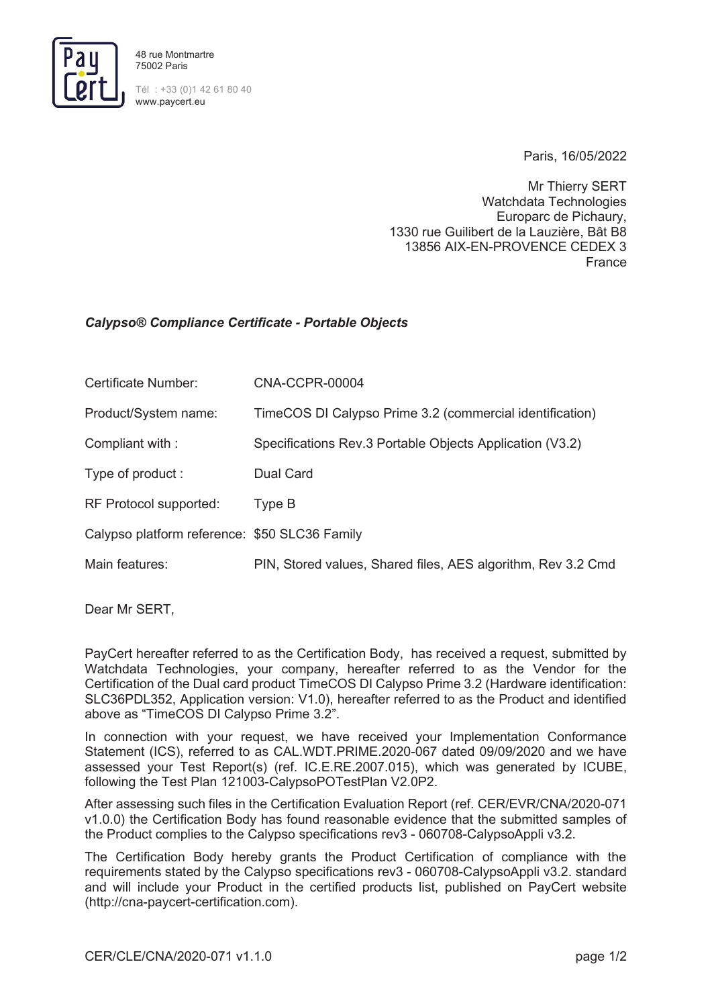

www.paycert.eu

Paris, 16/05/2022

Mr Thierry SERT Watchdata Technologies Europarc de Pichaury, 1330 rue Guilibert de la Lauzière, Bât B8 13856 AIX-EN-PROVENCE CEDEX 3 France

## *Calypso® Compliance Certificate - Portable Objects*

| Certificate Number:                           | CNA-CCPR-00004                                               |
|-----------------------------------------------|--------------------------------------------------------------|
| Product/System name:                          | TimeCOS DI Calypso Prime 3.2 (commercial identification)     |
| Compliant with:                               | Specifications Rev.3 Portable Objects Application (V3.2)     |
| Type of product :                             | Dual Card                                                    |
| RF Protocol supported:                        | Type B                                                       |
| Calypso platform reference: \$50 SLC36 Family |                                                              |
| Main features:                                | PIN, Stored values, Shared files, AES algorithm, Rev 3.2 Cmd |

Dear Mr SERT,

PayCert hereafter referred to as the Certification Body, has received a request, submitted by Watchdata Technologies, your company, hereafter referred to as the Vendor for the Certification of the Dual card product TimeCOS DI Calypso Prime 3.2 (Hardware identification: SLC36PDL352, Application version: V1.0), hereafter referred to as the Product and identified above as "TimeCOS DI Calypso Prime 3.2".

In connection with your request, we have received your Implementation Conformance Statement (ICS), referred to as CAL.WDT.PRIME.2020-067 dated 09/09/2020 and we have assessed your Test Report(s) (ref. IC.E.RE.2007.015), which was generated by ICUBE, following the Test Plan 121003-CalypsoPOTestPlan V2.0P2.

After assessing such files in the Certification Evaluation Report (ref. CER/EVR/CNA/2020-071 v1.0.0) the Certification Body has found reasonable evidence that the submitted samples of the Product complies to the Calypso specifications rev3 - 060708-CalypsoAppli v3.2.

The Certification Body hereby grants the Product Certification of compliance with the requirements stated by the Calypso specifications rev3 - 060708-CalypsoAppli v3.2. standard and will include your Product in the certified products list, published on PayCert website (http://cna-paycert-certification.com).